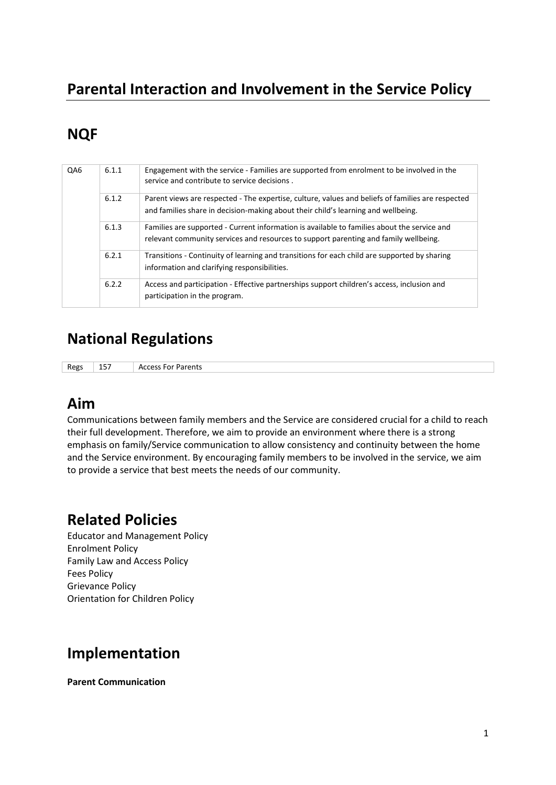# **Parental Interaction and Involvement in the Service Policy**

# **NQF**

| QA6 | 6.1.1 | Engagement with the service - Families are supported from enrolment to be involved in the<br>service and contribute to service decisions.                                              |  |  |
|-----|-------|----------------------------------------------------------------------------------------------------------------------------------------------------------------------------------------|--|--|
|     | 6.1.2 | Parent views are respected - The expertise, culture, values and beliefs of families are respected<br>and families share in decision-making about their child's learning and wellbeing. |  |  |
|     | 6.1.3 | Families are supported - Current information is available to families about the service and<br>relevant community services and resources to support parenting and family wellbeing.    |  |  |
|     | 6.2.1 | Transitions - Continuity of learning and transitions for each child are supported by sharing<br>information and clarifying responsibilities.                                           |  |  |
|     | 6.2.2 | Access and participation - Effective partnerships support children's access, inclusion and<br>participation in the program.                                                            |  |  |

## **National Regulations**

Regs 157 Access For Parents

### **Aim**

Communications between family members and the Service are considered crucial for a child to reach their full development. Therefore, we aim to provide an environment where there is a strong emphasis on family/Service communication to allow consistency and continuity between the home and the Service environment. By encouraging family members to be involved in the service, we aim to provide a service that best meets the needs of our community.

### **Related Policies**

Educator and Management Policy Enrolment Policy Family Law and Access Policy Fees Policy Grievance Policy Orientation for Children Policy

### **Implementation**

**Parent Communication**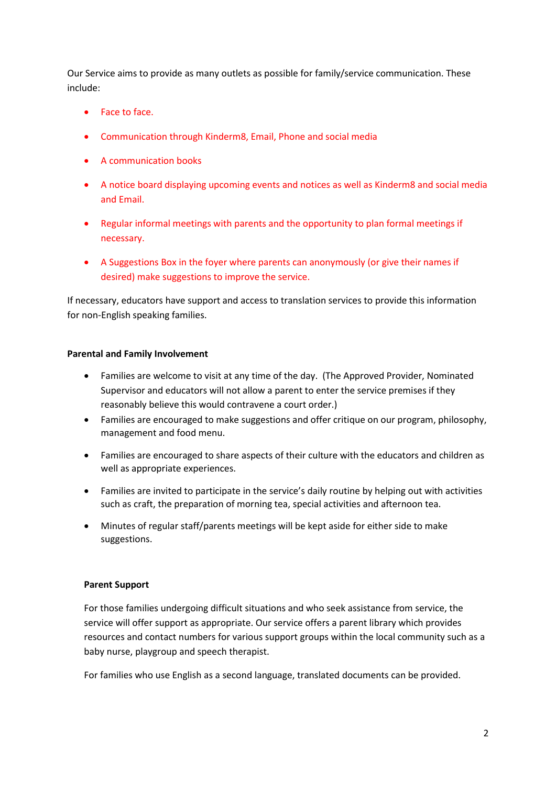Our Service aims to provide as many outlets as possible for family/service communication. These include:

- Face to face.
- Communication through Kinderm8, Email, Phone and social media
- A communication books
- A notice board displaying upcoming events and notices as well as Kinderm8 and social media and Email.
- Regular informal meetings with parents and the opportunity to plan formal meetings if necessary.
- A Suggestions Box in the foyer where parents can anonymously (or give their names if desired) make suggestions to improve the service.

If necessary, educators have support and access to translation services to provide this information for non-English speaking families.

#### **Parental and Family Involvement**

- Families are welcome to visit at any time of the day. (The Approved Provider, Nominated Supervisor and educators will not allow a parent to enter the service premises if they reasonably believe this would contravene a court order.)
- Families are encouraged to make suggestions and offer critique on our program, philosophy, management and food menu.
- Families are encouraged to share aspects of their culture with the educators and children as well as appropriate experiences.
- Families are invited to participate in the service's daily routine by helping out with activities such as craft, the preparation of morning tea, special activities and afternoon tea.
- Minutes of regular staff/parents meetings will be kept aside for either side to make suggestions.

#### **Parent Support**

For those families undergoing difficult situations and who seek assistance from service, the service will offer support as appropriate. Our service offers a parent library which provides resources and contact numbers for various support groups within the local community such as a baby nurse, playgroup and speech therapist.

For families who use English as a second language, translated documents can be provided.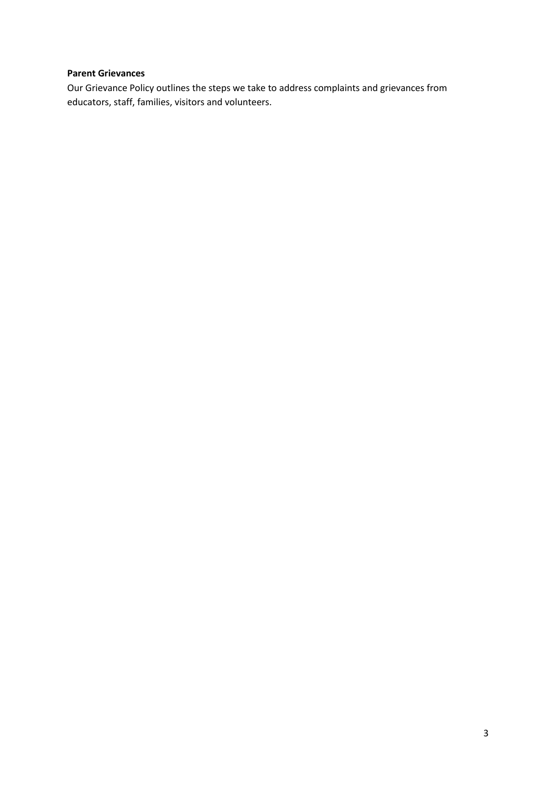### **Parent Grievances**

Our Grievance Policy outlines the steps we take to address complaints and grievances from educators, staff, families, visitors and volunteers.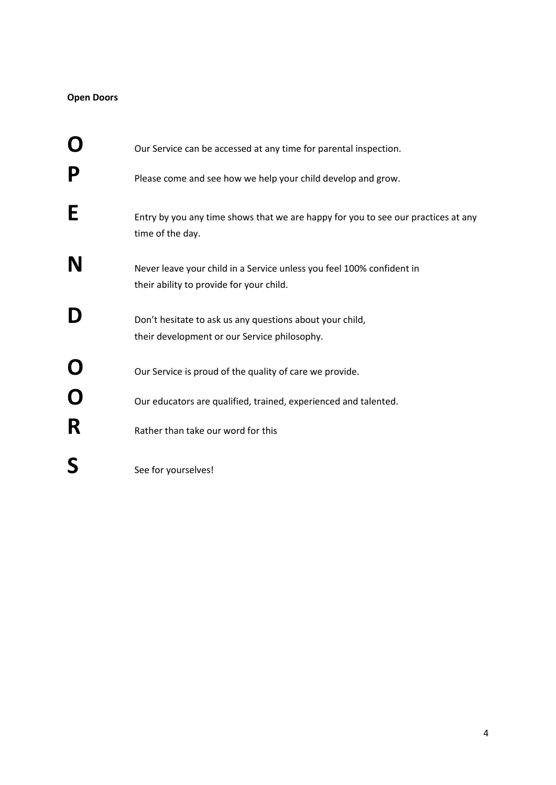### **Open Doors**

|             | Our Service can be accessed at any time for parental inspection.                                                  |
|-------------|-------------------------------------------------------------------------------------------------------------------|
| P           | Please come and see how we help your child develop and grow.                                                      |
| E           | Entry by you any time shows that we are happy for you to see our practices at any<br>time of the day.             |
| N           | Never leave your child in a Service unless you feel 100% confident in<br>their ability to provide for your child. |
| D           | Don't hesitate to ask us any questions about your child,<br>their development or our Service philosophy.          |
| Ő           | Our Service is proud of the quality of care we provide.                                                           |
| $\mathbf O$ | Our educators are qualified, trained, experienced and talented.                                                   |
| R           | Rather than take our word for this                                                                                |
| S           | See for yourselves!                                                                                               |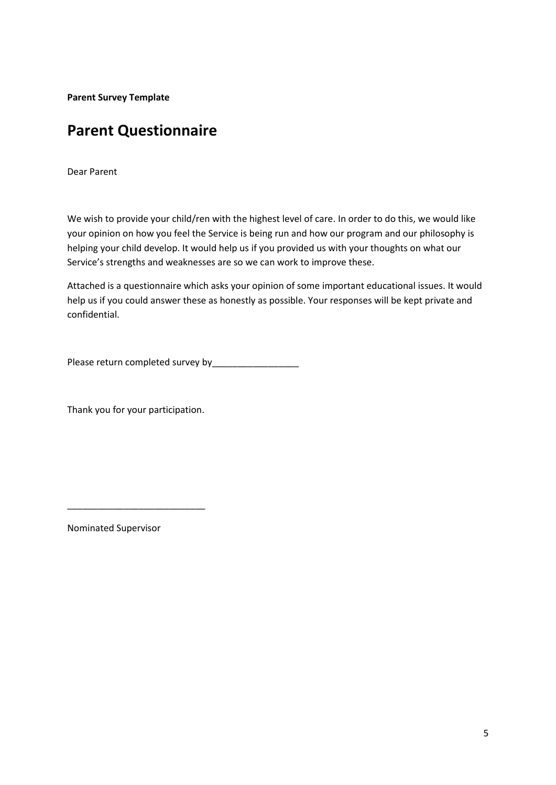**Parent Survey Template**

## **Parent Questionnaire**

Dear Parent

We wish to provide your child/ren with the highest level of care. In order to do this, we would like your opinion on how you feel the Service is being run and how our program and our philosophy is helping your child develop. It would help us if you provided us with your thoughts on what our Service's strengths and weaknesses are so we can work to improve these.

Attached is a questionnaire which asks your opinion of some important educational issues. It would help us if you could answer these as honestly as possible. Your responses will be kept private and confidential.

Please return completed survey by

Thank you for your participation.

\_\_\_\_\_\_\_\_\_\_\_\_\_\_\_\_\_\_\_\_\_\_\_\_\_\_\_

Nominated Supervisor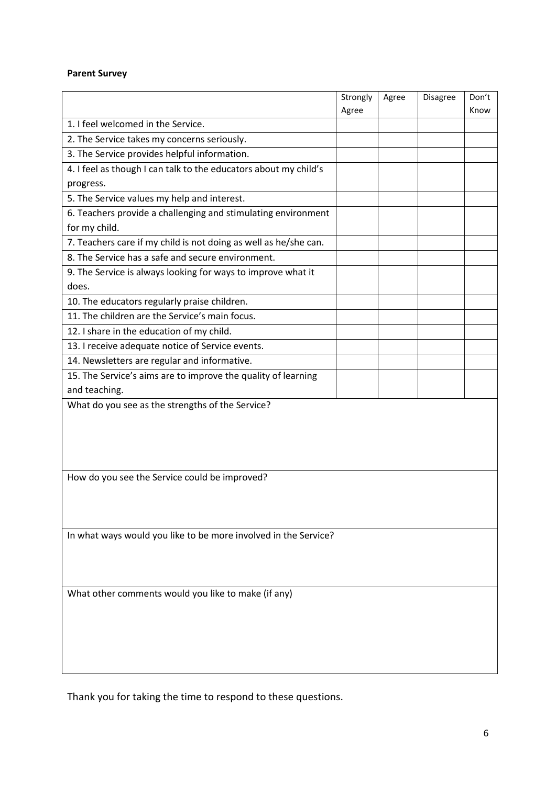### **Parent Survey**

|                                                                  | Strongly | Agree | Disagree | Don't |  |  |  |  |
|------------------------------------------------------------------|----------|-------|----------|-------|--|--|--|--|
| 1. I feel welcomed in the Service.                               | Agree    |       |          | Know  |  |  |  |  |
|                                                                  |          |       |          |       |  |  |  |  |
| 2. The Service takes my concerns seriously.                      |          |       |          |       |  |  |  |  |
| 3. The Service provides helpful information.                     |          |       |          |       |  |  |  |  |
| 4. I feel as though I can talk to the educators about my child's |          |       |          |       |  |  |  |  |
| progress.                                                        |          |       |          |       |  |  |  |  |
| 5. The Service values my help and interest.                      |          |       |          |       |  |  |  |  |
| 6. Teachers provide a challenging and stimulating environment    |          |       |          |       |  |  |  |  |
| for my child.                                                    |          |       |          |       |  |  |  |  |
| 7. Teachers care if my child is not doing as well as he/she can. |          |       |          |       |  |  |  |  |
| 8. The Service has a safe and secure environment.                |          |       |          |       |  |  |  |  |
| 9. The Service is always looking for ways to improve what it     |          |       |          |       |  |  |  |  |
| does.                                                            |          |       |          |       |  |  |  |  |
| 10. The educators regularly praise children.                     |          |       |          |       |  |  |  |  |
| 11. The children are the Service's main focus.                   |          |       |          |       |  |  |  |  |
| 12. I share in the education of my child.                        |          |       |          |       |  |  |  |  |
| 13. I receive adequate notice of Service events.                 |          |       |          |       |  |  |  |  |
| 14. Newsletters are regular and informative.                     |          |       |          |       |  |  |  |  |
| 15. The Service's aims are to improve the quality of learning    |          |       |          |       |  |  |  |  |
| and teaching.                                                    |          |       |          |       |  |  |  |  |
| What do you see as the strengths of the Service?                 |          |       |          |       |  |  |  |  |
|                                                                  |          |       |          |       |  |  |  |  |
|                                                                  |          |       |          |       |  |  |  |  |
|                                                                  |          |       |          |       |  |  |  |  |
|                                                                  |          |       |          |       |  |  |  |  |
| How do you see the Service could be improved?                    |          |       |          |       |  |  |  |  |
|                                                                  |          |       |          |       |  |  |  |  |
|                                                                  |          |       |          |       |  |  |  |  |
|                                                                  |          |       |          |       |  |  |  |  |
| In what ways would you like to be more involved in the Service?  |          |       |          |       |  |  |  |  |
|                                                                  |          |       |          |       |  |  |  |  |
|                                                                  |          |       |          |       |  |  |  |  |
|                                                                  |          |       |          |       |  |  |  |  |
| What other comments would you like to make (if any)              |          |       |          |       |  |  |  |  |
|                                                                  |          |       |          |       |  |  |  |  |
|                                                                  |          |       |          |       |  |  |  |  |
|                                                                  |          |       |          |       |  |  |  |  |
|                                                                  |          |       |          |       |  |  |  |  |
|                                                                  |          |       |          |       |  |  |  |  |

Thank you for taking the time to respond to these questions.